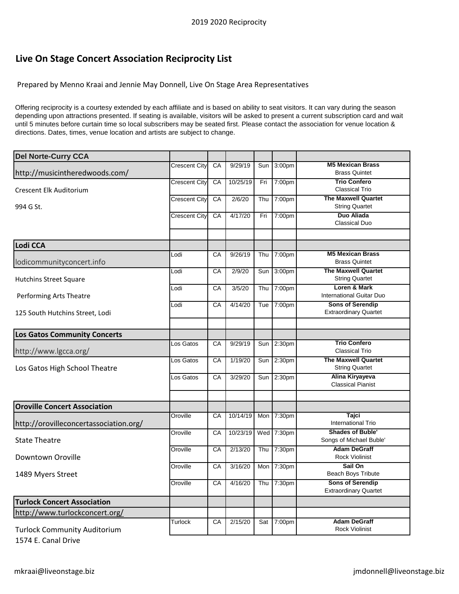## **Live On Stage Concert Association Reciprocity List**

Prepared by Menno Kraai and Jennie May Donnell, Live On Stage Area Representatives

Offering reciprocity is a courtesy extended by each affiliate and is based on ability to seat visitors. It can vary during the season depending upon attractions presented. If seating is available, visitors will be asked to present a current subscription card and wait until 5 minutes before curtain time so local subscribers may be seated first. Please contact the association for venue location & directions. Dates, times, venue location and artists are subject to change.

| <b>Del Norte-Curry CCA</b>             |                      |    |          |     |                    |                                                         |
|----------------------------------------|----------------------|----|----------|-----|--------------------|---------------------------------------------------------|
| http://musicintheredwoods.com/         | Crescent City        | CA | 9/29/19  | Sun | 3:00pm             | <b>M5 Mexican Brass</b><br><b>Brass Quintet</b>         |
| <b>Crescent Elk Auditorium</b>         | Crescent City        | CA | 10/25/19 | Fri | 7:00pm             | <b>Trio Confero</b><br><b>Classical Trio</b>            |
| 994 G St.                              | Crescent City        | CA | 2/6/20   | Thu | 7:00pm             | <b>The Maxwell Quartet</b><br><b>String Quartet</b>     |
|                                        | <b>Crescent City</b> | CA | 4/17/20  | Fri | 7:00pm             | Duo Aliada<br><b>Classical Duo</b>                      |
|                                        |                      |    |          |     |                    |                                                         |
| Lodi CCA                               |                      |    |          |     |                    |                                                         |
| lodicommunityconcert.info              | Lodi                 | CA | 9/26/19  | Thu | 7:00pm             | <b>M5 Mexican Brass</b><br><b>Brass Quintet</b>         |
| <b>Hutchins Street Square</b>          | Lodi                 | CA | 2/9/20   | Sun | 3:00pm             | <b>The Maxwell Quartet</b><br><b>String Quartet</b>     |
| Performing Arts Theatre                | Lodi                 | CA | 3/5/20   | Thu | 7:00pm             | Loren & Mark<br>International Guitar Duo                |
| 125 South Hutchins Street, Lodi        | Lodi                 | CA | 4/14/20  | Tue | 7:00pm             | <b>Sons of Serendip</b><br><b>Extraordinary Quartet</b> |
|                                        |                      |    |          |     |                    |                                                         |
| <b>Los Gatos Community Concerts</b>    |                      |    |          |     |                    |                                                         |
| http://www.lgcca.org/                  | Los Gatos            | CA | 9/29/19  | Sun | 2:30pm             | <b>Trio Confero</b><br><b>Classical Trio</b>            |
| Los Gatos High School Theatre          | Los Gatos            | CA | 1/19/20  | Sun | 2:30 <sub>pm</sub> | <b>The Maxwell Quartet</b><br><b>String Quartet</b>     |
|                                        | Los Gatos            | CA | 3/29/20  | Sun | 2:30pm             | Alina Kiryayeva<br><b>Classical Pianist</b>             |
|                                        |                      |    |          |     |                    |                                                         |
| <b>Oroville Concert Association</b>    |                      |    |          |     |                    |                                                         |
| http://orovilleconcertassociation.org/ | Oroville             | CA | 10/14/19 | Mon | 7:30pm             | Tajci<br><b>International Trio</b>                      |
| <b>State Theatre</b>                   | Oroville             | CA | 10/23/19 | Wed | 7:30pm             | <b>Shades of Buble'</b><br>Songs of Michael Buble'      |
| Downtown Oroville                      | Oroville             | CA | 2/13/20  | Thu | 7:30pm             | <b>Adam DeGraff</b><br><b>Rock Violinist</b>            |
| 1489 Myers Street                      | Oroville             | CA | 3/16/20  | Mon | 7:30pm             | Sail On<br><b>Beach Boys Tribute</b>                    |
|                                        | Oroville             | CA | 4/16/20  | Thu | 7:30pm             | <b>Sons of Serendip</b><br><b>Extraordinary Quartet</b> |
| <b>Turlock Concert Association</b>     |                      |    |          |     |                    |                                                         |
| http://www.turlockconcert.org/         |                      |    |          |     |                    |                                                         |
| <b>Turlock Community Auditorium</b>    | Turlock              | CA | 2/15/20  | Sat | 7:00pm             | <b>Adam DeGraff</b><br><b>Rock Violinist</b>            |

1574 E. Canal Drive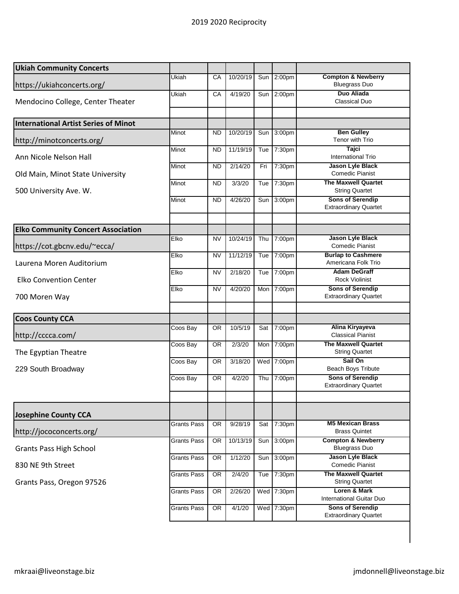| <b>Ukiah Community Concerts</b>             |                    |           |          |     |                    |                                                         |
|---------------------------------------------|--------------------|-----------|----------|-----|--------------------|---------------------------------------------------------|
| https://ukiahconcerts.org/                  | Ukiah              | CA        | 10/20/19 | Sun | 2:00 <sub>pm</sub> | <b>Compton &amp; Newberry</b><br><b>Bluegrass Duo</b>   |
| Mendocino College, Center Theater           | Ukiah              | CA        | 4/19/20  | Sun | 2:00 <sub>pm</sub> | <b>Duo Aliada</b><br><b>Classical Duo</b>               |
| <b>International Artist Series of Minot</b> |                    |           |          |     |                    |                                                         |
| http://minotconcerts.org/                   | Minot              | ND        | 10/20/19 | Sun | 3:00 <sub>pm</sub> | <b>Ben Gulley</b><br>Tenor with Trio                    |
| Ann Nicole Nelson Hall                      | Minot              | <b>ND</b> | 11/19/19 | Tue | 7:30pm             | <b>Tajci</b><br><b>International Trio</b>               |
| Old Main, Minot State University            | Minot              | <b>ND</b> | 2/14/20  | Fri | 7:30pm             | Jason Lyle Black<br><b>Comedic Pianist</b>              |
| 500 University Ave. W.                      | Minot              | <b>ND</b> | 3/3/20   | Tue | 7:30pm             | <b>The Maxwell Quartet</b><br><b>String Quartet</b>     |
|                                             | Minot              | <b>ND</b> | 4/26/20  | Sun | 3:00pm             | <b>Sons of Serendip</b><br><b>Extraordinary Quartet</b> |
| <b>Elko Community Concert Association</b>   |                    |           |          |     |                    |                                                         |
| https://cot.gbcnv.edu/~ecca/                | Elko               | <b>NV</b> | 10/24/19 | Thu | 7:00pm             | <b>Jason Lyle Black</b><br><b>Comedic Pianist</b>       |
| Laurena Moren Auditorium                    | Elko               | <b>NV</b> | 11/12/19 | Tue | 7:00pm             | <b>Burlap to Cashmere</b><br>Americana Folk Trio        |
| <b>Elko Convention Center</b>               | Elko               | <b>NV</b> | 2/18/20  | Tue | 7:00pm             | <b>Adam DeGraff</b><br><b>Rock Violinist</b>            |
| 700 Moren Way                               | Elko               | <b>NV</b> | 4/20/20  | Mon | 7:00pm             | <b>Sons of Serendip</b><br><b>Extraordinary Quartet</b> |
| <b>Coos County CCA</b>                      |                    |           |          |     |                    |                                                         |
| http://cccca.com/                           | Coos Bay           | 0R        | 10/5/19  | Sat | 7:00pm             | Alina Kiryayeva<br><b>Classical Pianist</b>             |
| The Egyptian Theatre                        | Coos Bay           | 0R        | 2/3/20   | Mon | 7:00pm             | <b>The Maxwell Quartet</b><br><b>String Quartet</b>     |
| 229 South Broadway                          | Coos Bay           | 0R        | 3/18/20  | Wed | 7:00pm             | Sail On<br><b>Beach Boys Tribute</b>                    |
|                                             | Coos Bay           | <b>OR</b> | 4/2/20   | Thu | 7:00pm             | <b>Sons of Serendip</b><br><b>Extraordinary Quartet</b> |
| <b>Josephine County CCA</b>                 |                    |           |          |     |                    |                                                         |
| http://jococoncerts.org/                    | <b>Grants Pass</b> | <b>OR</b> | 9/28/19  | Sat | 7:30pm             | <b>M5 Mexican Brass</b><br><b>Brass Quintet</b>         |
| <b>Grants Pass High School</b>              | <b>Grants Pass</b> | <b>OR</b> | 10/13/19 | Sun | 3:00pm             | <b>Compton &amp; Newberry</b><br><b>Bluegrass Duo</b>   |
| 830 NE 9th Street                           | <b>Grants Pass</b> | OR        | 1/12/20  | Sun | 3:00pm             | Jason Lyle Black<br><b>Comedic Pianist</b>              |
| Grants Pass, Oregon 97526                   | <b>Grants Pass</b> | OR        | 2/4/20   | Tue | 7:30pm             | <b>The Maxwell Quartet</b><br><b>String Quartet</b>     |
|                                             | <b>Grants Pass</b> | OR        | 2/26/20  |     | Wed 7:30pm         | Loren & Mark<br>International Guitar Duo                |
|                                             | <b>Grants Pass</b> | <b>OR</b> | 4/1/20   |     | Wed 7:30pm         | <b>Sons of Serendip</b><br><b>Extraordinary Quartet</b> |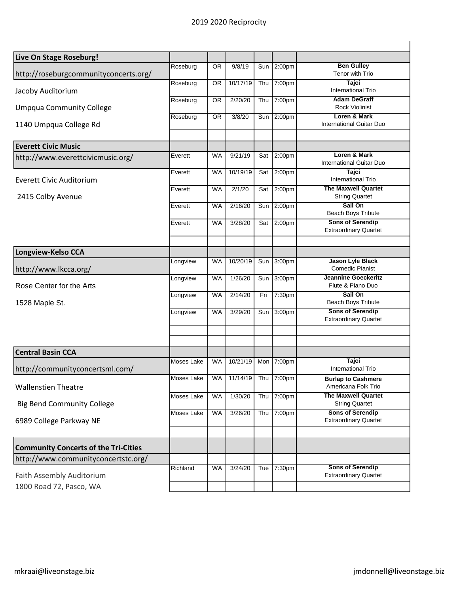| Live On Stage Roseburg!                              |                   |           |          |     |                    |                                                         |
|------------------------------------------------------|-------------------|-----------|----------|-----|--------------------|---------------------------------------------------------|
| http://roseburgcommunityconcerts.org/                | Roseburg          | OR.       | 9/8/19   | Sun | 2:00pm             | <b>Ben Gulley</b><br>Tenor with Trio                    |
| Jacoby Auditorium                                    | Roseburg          | 0R        | 10/17/19 | Thu | 7:00pm             | <b>Tajci</b><br><b>International Trio</b>               |
| <b>Umpqua Community College</b>                      | Roseburg          | OR.       | 2/20/20  | Thu | 7:00pm             | <b>Adam DeGraff</b><br><b>Rock Violinist</b>            |
| 1140 Umpqua College Rd                               | Roseburg          | 0R        | 3/8/20   | Sun | 2:00 <sub>pm</sub> | Loren & Mark<br>International Guitar Duo                |
| <b>Everett Civic Music</b>                           |                   |           |          |     |                    |                                                         |
| http://www.everettcivicmusic.org/                    | Everett           | WA        | 9/21/19  | Sat | 2:00pm             | Loren & Mark<br>International Guitar Duo                |
| Everett Civic Auditorium                             | Everett           | <b>WA</b> | 10/19/19 | Sat | 2:00 <sub>pm</sub> | <b>Tajci</b><br>International Trio                      |
| 2415 Colby Avenue                                    | Everett           | <b>WA</b> | 2/1/20   | Sat | 2:00 <sub>pm</sub> | <b>The Maxwell Quartet</b><br><b>String Quartet</b>     |
|                                                      | Everett           | WA        | 2/16/20  | Sun | 2:00 <sub>pm</sub> | Sail On<br>Beach Boys Tribute                           |
|                                                      | Everett           | <b>WA</b> | 3/28/20  | Sat | 2:00 <sub>pm</sub> | <b>Sons of Serendip</b><br><b>Extraordinary Quartet</b> |
| Longview-Kelso CCA                                   |                   |           |          |     |                    |                                                         |
| http://www.lkcca.org/                                | Longview          | <b>WA</b> | 10/20/19 | Sun | 3:00pm             | Jason Lyle Black<br><b>Comedic Pianist</b>              |
| Rose Center for the Arts<br>1528 Maple St.           | Longview          | WA        | 1/26/20  | Sun | 3:00pm             | <b>Jeannine Goeckeritz</b><br>Flute & Piano Duo         |
|                                                      | Longview          | <b>WA</b> | 2/14/20  | Fri | 7:30pm             | Sail On<br><b>Beach Boys Tribute</b>                    |
|                                                      | Longview          | <b>WA</b> | 3/29/20  | Sun | 3:00pm             | <b>Sons of Serendip</b><br><b>Extraordinary Quartet</b> |
|                                                      |                   |           |          |     |                    |                                                         |
| <b>Central Basin CCA</b>                             |                   |           |          |     |                    |                                                         |
| http://communityconcertsml.com/                      | Moses Lake        | WA        | 10/21/19 | Mon | 7:00pm             | <b>Tajci</b><br>International Trio                      |
| <b>Wallenstien Theatre</b>                           | Moses Lake        | <b>WA</b> | 11/14/19 |     | Thu 7:00pm         | <b>Burlap to Cashmere</b><br>Americana Folk Trio        |
| <b>Big Bend Community College</b>                    | <b>Moses Lake</b> | <b>WA</b> | 1/30/20  | Thu | 7:00pm             | <b>The Maxwell Quartet</b><br><b>String Quartet</b>     |
| 6989 College Parkway NE                              | Moses Lake        | <b>WA</b> | 3/26/20  | Thu | 7:00pm             | <b>Sons of Serendip</b><br><b>Extraordinary Quartet</b> |
| <b>Community Concerts of the Tri-Cities</b>          |                   |           |          |     |                    |                                                         |
| http://www.communityconcertstc.org/                  |                   |           |          |     |                    |                                                         |
| Faith Assembly Auditorium<br>1800 Road 72, Pasco, WA | Richland          | <b>WA</b> | 3/24/20  | Tue | 7:30pm             | <b>Sons of Serendip</b><br><b>Extraordinary Quartet</b> |